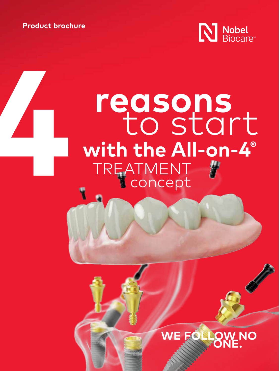**Product brochure**



# **4 <b>reasons**<br> **to stall**<br> **with the All-on**<br> **TREATMENT with the All-on-4®** TREATMENT concept to start

### WE FOLLOW **NO**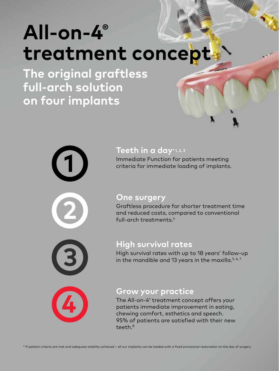## **All-on-4® treatment concept**

**The original graftless full-arch solution on four implants**



### **Teeth in a day\* 1, 2, 3**

Immediate Function for patients meeting **1** criteria for immediate loading of implants.

#### **One surgery**

Graftless procedure for shorter treatment time and reduced costs, compared to conventional full-arch treatments.4



### **High survival rates**

High survival rates with up to 18 years' follow-up in the mandible and 13 years in the maxilla. $5, 6, 7$ 



#### **Grow your practice**

The All-on-4® treatment concept offers your patients immediate improvement in eating, chewing comfort, esthetics and speech. 95% of patients are satisfied with their new teeth.8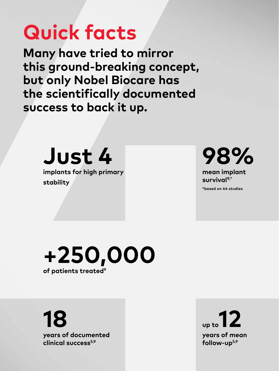## **Quick facts**

**Many have tried to mirror this ground-breaking concept, but only Nobel Biocare has the scientifically documented success to back it up.**



**implants for high primary stability** 



**mean implant survival9,\***

**\*based on 44 studies**

**+250,000 of patients treated9**

**18 years of documented clinical success5,9**

**up to12 years of mean follow-up5,9**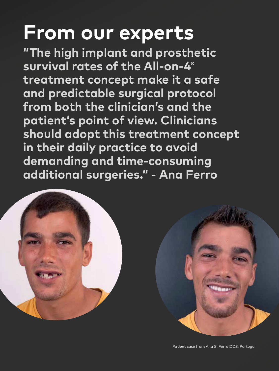## **From our experts**

**"The high implant and prosthetic survival rates of the All-on-4® treatment concept make it a safe and predictable surgical protocol from both the clinician's and the patient's point of view. Clinicians should adopt this treatment concept in their daily practice to avoid demanding and time-consuming additional surgeries." - Ana Ferro**





Patient case from Ana S. Ferro DDS, Portugal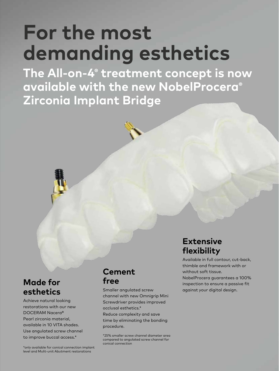## **For the most demanding esthetics**

**The All-on-4® treatment concept is now available with the new NobelProcera® Zirconia Implant Bridge** 

### **Made for esthetics**

Achieve natural looking restorations with our new DOCERAM Nacera® Pearl zirconia material, available in 10 VITA shades. Use angulated screw channel to improve buccal access.\*

### **Cement free**

Smaller angulated screw channel with new Omnigrip Mini Screwdriver provides improved occlusal esthetics.\* Reduce complexity and save time by eliminating the bonding procedure.

\*25% smaller screw channel diameter area compared to angulated screw channel for conical connection

### **Extensive flexibility**

Available in full contour, cut-back, thimble and framework with or without soft tissue.

NobelProcera guarantees a 100% inspection to ensure a passive fit against your digital design.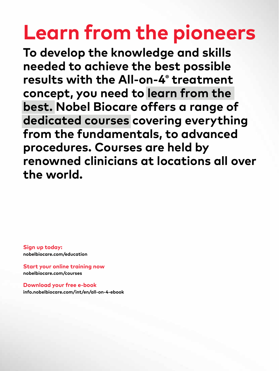## **Learn from the pioneers**

**To develop the knowledge and skills needed to achieve the best possible results with the All-on-4® treatment concept, you need to learn from the best. Nobel Biocare offers a range of dedicated courses covering everything from the fundamentals, to advanced procedures. Courses are held by renowned clinicians at locations all over the world.**

**Sign up today: [nobelbiocare.com/education](https://www.nobelbiocare.com/en-int/education)**

**Start your online training now [nobelbiocare.com/courses](https://www.nobelbiocare.com/en-int/courses)**

**Download your free e-book [info.nobelbiocare.com/int/en/all-on-4-ebook](https://info.nobelbiocare.com/int/en/all-on-4-ebook)**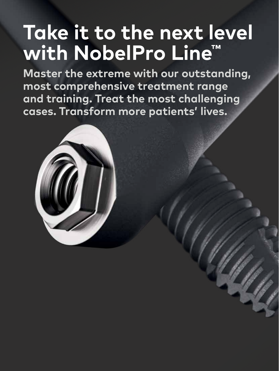## **Take it to the next level with NobelPro Line™**

**Master the extreme with our outstanding, most comprehensive treatment range and training. Treat the most challenging cases. Transform more patients' lives.**